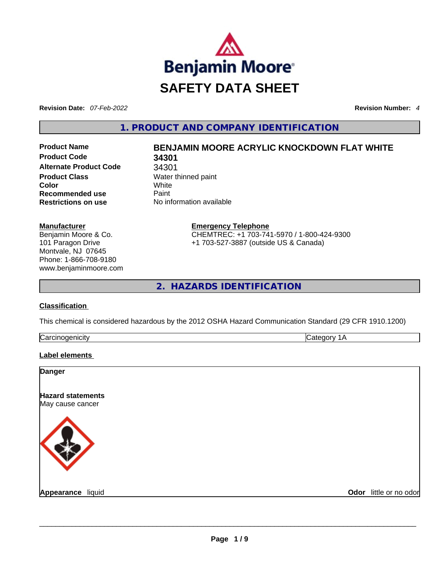

**Revision Date:** *07-Feb-2022* **Revision Number:** *4*

**1. PRODUCT AND COMPANY IDENTIFICATION** 

**Product Code 34301 Alternate Product Code** 34301 **Product Class Water thinned paint Color** White **Recommended use Paint Restrictions on use** No information available

# **Product Name BENJAMIN MOORE ACRYLIC KNOCKDOWN FLAT WHITE**

**Manufacturer** Benjamin Moore & Co. 101 Paragon Drive Montvale, NJ 07645 Phone: 1-866-708-9180 www.benjaminmoore.com **Emergency Telephone** CHEMTREC: +1 703-741-5970 / 1-800-424-9300 +1 703-527-3887 (outside US & Canada)

**2. HAZARDS IDENTIFICATION** 

# **Classification**

This chemical is considered hazardous by the 2012 OSHA Hazard Communication Standard (29 CFR 1910.1200)

| ∽<br> |  |
|-------|--|
|       |  |

# **Label elements**

| Odor little or no odor |
|------------------------|
|                        |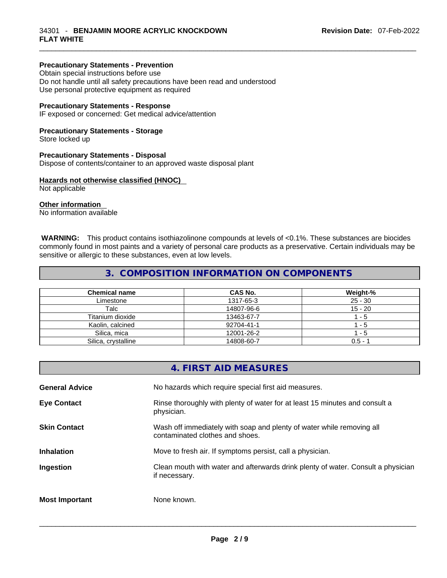# **Precautionary Statements - Prevention**

Obtain special instructions before use Do not handle until all safety precautions have been read and understood Use personal protective equipment as required

#### **Precautionary Statements - Response**

IF exposed or concerned: Get medical advice/attention

#### **Precautionary Statements - Storage**

Store locked up

#### **Precautionary Statements - Disposal**

Dispose of contents/container to an approved waste disposal plant

## **Hazards not otherwise classified (HNOC)**

Not applicable

#### **Other information**

No information available

 **WARNING:** This product contains isothiazolinone compounds at levels of <0.1%. These substances are biocides commonly found in most paints and a variety of personal care products as a preservative. Certain individuals may be sensitive or allergic to these substances, even at low levels.

# **3. COMPOSITION INFORMATION ON COMPONENTS**

| <b>Chemical name</b> | <b>CAS No.</b> | Weight-%  |
|----------------------|----------------|-----------|
| Limestone            | 1317-65-3      | $25 - 30$ |
| Talc                 | 14807-96-6     | $15 - 20$ |
| Titanium dioxide     | 13463-67-7     | 1 - 5     |
| Kaolin, calcined     | 92704-41-1     | $1 - 5$   |
| Silica, mica         | 12001-26-2     | $1 - 5$   |
| Silica, crystalline  | 14808-60-7     | $0.5 -$   |

|                       | 4. FIRST AID MEASURES                                                                                    |
|-----------------------|----------------------------------------------------------------------------------------------------------|
| <b>General Advice</b> | No hazards which require special first aid measures.                                                     |
| <b>Eye Contact</b>    | Rinse thoroughly with plenty of water for at least 15 minutes and consult a<br>physician.                |
| <b>Skin Contact</b>   | Wash off immediately with soap and plenty of water while removing all<br>contaminated clothes and shoes. |
| <b>Inhalation</b>     | Move to fresh air. If symptoms persist, call a physician.                                                |
| Ingestion             | Clean mouth with water and afterwards drink plenty of water. Consult a physician<br>if necessary.        |
| <b>Most Important</b> | None known.                                                                                              |
|                       |                                                                                                          |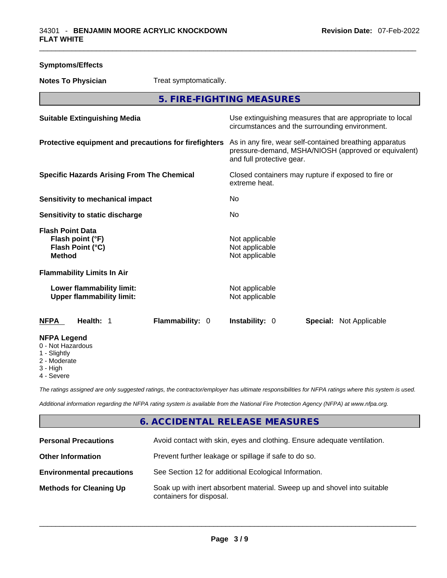| <b>Symptoms/Effects</b>                                                             |                                                                                                                                              |  |
|-------------------------------------------------------------------------------------|----------------------------------------------------------------------------------------------------------------------------------------------|--|
| Treat symptomatically.<br><b>Notes To Physician</b>                                 |                                                                                                                                              |  |
|                                                                                     | 5. FIRE-FIGHTING MEASURES                                                                                                                    |  |
| <b>Suitable Extinguishing Media</b>                                                 | Use extinguishing measures that are appropriate to local<br>circumstances and the surrounding environment.                                   |  |
| Protective equipment and precautions for firefighters                               | As in any fire, wear self-contained breathing apparatus<br>pressure-demand, MSHA/NIOSH (approved or equivalent)<br>and full protective gear. |  |
| <b>Specific Hazards Arising From The Chemical</b>                                   | Closed containers may rupture if exposed to fire or<br>extreme heat.                                                                         |  |
| Sensitivity to mechanical impact                                                    | No                                                                                                                                           |  |
| <b>Sensitivity to static discharge</b>                                              | No.                                                                                                                                          |  |
| <b>Flash Point Data</b><br>Flash point (°F)<br>Flash Point (°C)<br><b>Method</b>    | Not applicable<br>Not applicable<br>Not applicable                                                                                           |  |
| <b>Flammability Limits In Air</b>                                                   |                                                                                                                                              |  |
| Lower flammability limit:<br><b>Upper flammability limit:</b>                       | Not applicable<br>Not applicable                                                                                                             |  |
| Health: 1<br>Flammability: 0<br><b>NFPA</b>                                         | Instability: 0<br><b>Special: Not Applicable</b>                                                                                             |  |
| <b>NFPA Legend</b><br>0 - Not Hazardous<br>1 - Slightly<br>2 - Moderate<br>3 - High |                                                                                                                                              |  |

4 - Severe

*The ratings assigned are only suggested ratings, the contractor/employer has ultimate responsibilities for NFPA ratings where this system is used.* 

*Additional information regarding the NFPA rating system is available from the National Fire Protection Agency (NFPA) at www.nfpa.org.* 

# **6. ACCIDENTAL RELEASE MEASURES**

| <b>Personal Precautions</b>      | Avoid contact with skin, eyes and clothing. Ensure adequate ventilation.                             |
|----------------------------------|------------------------------------------------------------------------------------------------------|
| <b>Other Information</b>         | Prevent further leakage or spillage if safe to do so.                                                |
| <b>Environmental precautions</b> | See Section 12 for additional Ecological Information.                                                |
| <b>Methods for Cleaning Up</b>   | Soak up with inert absorbent material. Sweep up and shovel into suitable<br>containers for disposal. |

 $\_$  ,  $\_$  ,  $\_$  ,  $\_$  ,  $\_$  ,  $\_$  ,  $\_$  ,  $\_$  ,  $\_$  ,  $\_$  ,  $\_$  ,  $\_$  ,  $\_$  ,  $\_$  ,  $\_$  ,  $\_$  ,  $\_$  ,  $\_$  ,  $\_$  ,  $\_$  ,  $\_$  ,  $\_$  ,  $\_$  ,  $\_$  ,  $\_$  ,  $\_$  ,  $\_$  ,  $\_$  ,  $\_$  ,  $\_$  ,  $\_$  ,  $\_$  ,  $\_$  ,  $\_$  ,  $\_$  ,  $\_$  ,  $\_$  ,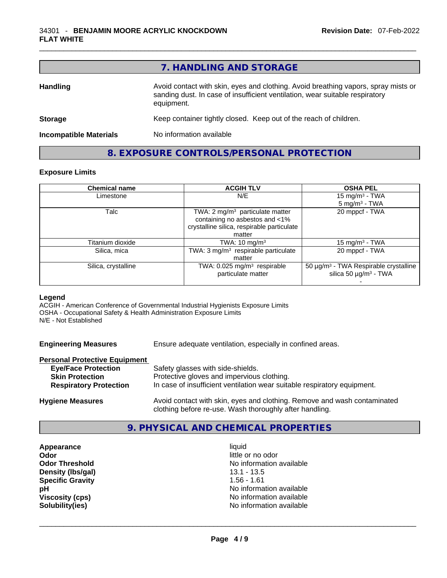|                               | 7. HANDLING AND STORAGE                                                                                                                                                          |
|-------------------------------|----------------------------------------------------------------------------------------------------------------------------------------------------------------------------------|
| <b>Handling</b>               | Avoid contact with skin, eyes and clothing. Avoid breathing vapors, spray mists or<br>sanding dust. In case of insufficient ventilation, wear suitable respiratory<br>equipment. |
| <b>Storage</b>                | Keep container tightly closed. Keep out of the reach of children.                                                                                                                |
| <b>Incompatible Materials</b> | No information available                                                                                                                                                         |

**8. EXPOSURE CONTROLS/PERSONAL PROTECTION** 

# **Exposure Limits**

| <b>Chemical name</b> | <b>ACGIH TLV</b>                                                             | <b>OSHA PEL</b>                                   |
|----------------------|------------------------------------------------------------------------------|---------------------------------------------------|
| Limestone            | N/E                                                                          | 15 mg/m $3$ - TWA                                 |
|                      |                                                                              | $5 \text{ mg/m}^3$ - TWA                          |
| Talc                 | TWA: $2 \text{ mg/m}^3$ particulate matter<br>containing no asbestos and <1% | 20 mppcf - TWA                                    |
|                      | crystalline silica, respirable particulate                                   |                                                   |
|                      | matter                                                                       |                                                   |
| Titanium dioxide     | TWA: $10 \text{ mg/m}^3$                                                     | 15 mg/m $3$ - TWA                                 |
| Silica, mica         | TWA: 3 mg/m <sup>3</sup> respirable particulate                              | 20 mppcf - TWA                                    |
|                      | matter                                                                       |                                                   |
| Silica, crystalline  | TWA: $0.025$ mg/m <sup>3</sup> respirable                                    | 50 µg/m <sup>3</sup> - TWA Respirable crystalline |
|                      | particulate matter                                                           | silica 50 $\mu$ g/m <sup>3</sup> - TWA            |
|                      |                                                                              |                                                   |

#### **Legend**

ACGIH - American Conference of Governmental Industrial Hygienists Exposure Limits OSHA - Occupational Safety & Health Administration Exposure Limits N/E - Not Established

**Engineering Measures** Ensure adequate ventilation, especially in confined areas.

#### **Personal Protective Equipment**

| <b>Eye/Face Protection</b>    | Safety glasses with side-shields.                                        |
|-------------------------------|--------------------------------------------------------------------------|
| <b>Skin Protection</b>        | Protective gloves and impervious clothing.                               |
| <b>Respiratory Protection</b> | In case of insufficient ventilation wear suitable respiratory equipment. |
|                               |                                                                          |

**Hygiene Measures** Avoid contact with skin, eyes and clothing. Remove and wash contaminated clothing before re-use. Wash thoroughly after handling.

# **9. PHYSICAL AND CHEMICAL PROPERTIES**

**Appearance** liquid **Odor Odor Odor Odor Odor Odor** *little or no odor little or no odor little or no odor* **Density (lbs/gal)** 13.1 - 13.5 **Specific Gravity** 1.56 - 1.61

**Odor Threshold** No information available **pH**<br>
Viscosity (cps) **phenomenal contract of the US** No information available<br>
No information available **Viscosity (cps)** <br> **Viscosity (cps)** <br> **Solubility(ies)** <br> **No** information available **Solubility(ies)** No information available \_\_\_\_\_\_\_\_\_\_\_\_\_\_\_\_\_\_\_\_\_\_\_\_\_\_\_\_\_\_\_\_\_\_\_\_\_\_\_\_\_\_\_\_\_\_\_\_\_\_\_\_\_\_\_\_\_\_\_\_\_\_\_\_\_\_\_\_\_\_\_\_\_\_\_\_\_\_\_\_\_\_\_\_\_\_\_\_\_\_\_\_\_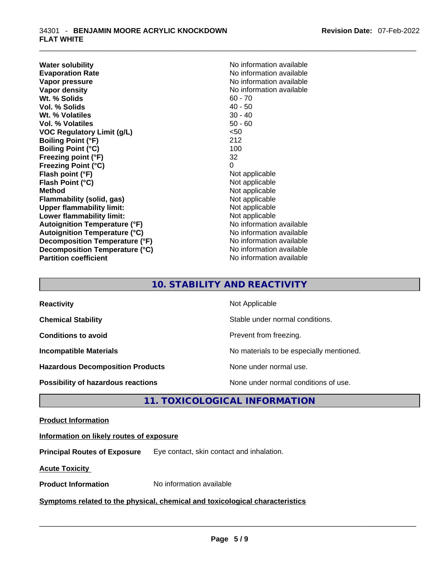**Water solubility Water solubility No information available Evaporation Rate Note 2008 No information available Note 2008 No information available Vapor pressure**  No information available **Vapor pressure No information available Vapor density No information available No information available Wt. % Solids** 60 - 70 **Vol. % Solids** 40 - 50 Wt. % Volatiles **Vol. % Volatiles** 50 - 60 **VOC Regulatory Limit (g/L)** <50 **Boiling Point (°F)** 212 **Boiling Point (°C)** 100<br> **Preezing point (°F)** 22 **Freezing point (°F) Freezing Point (°C)** 0 **Flash point (°F)**<br> **Flash Point (°C)**<br> **Flash Point (°C)**<br> **C Flash Point (°C) Method Not applicable Not applicable Flammability (solid, gas)** Not applicable<br>
Upper flammability limit:<br>
Not applicable<br>
Not applicable **Upper flammability limit: Lower flammability limit:**<br> **Autoianition Temperature (°F)** Not applicable Not applicable not a Not applicable **Autoignition Temperature (°F)**<br> **Autoignition Temperature (°C)** No information available **Autoignition Temperature (°C) Decomposition Temperature (°F)** No information available **Decomposition Temperature (°C)**<br> **Partition coefficient**<br> **Partition coefficient**<br> **No** information available

**No information available** 

# **10. STABILITY AND REACTIVITY**

| <b>Reactivity</b>                         | Not Applicable                           |
|-------------------------------------------|------------------------------------------|
| <b>Chemical Stability</b>                 | Stable under normal conditions.          |
| <b>Conditions to avoid</b>                | Prevent from freezing.                   |
| <b>Incompatible Materials</b>             | No materials to be especially mentioned. |
| <b>Hazardous Decomposition Products</b>   | None under normal use.                   |
| <b>Possibility of hazardous reactions</b> | None under normal conditions of use.     |

# **11. TOXICOLOGICAL INFORMATION**

## **Product Information**

## **Information on likely routes of exposure**

**Principal Routes of Exposure** Eye contact, skin contact and inhalation.

**Acute Toxicity** 

# **Product Information** No information available \_\_\_\_\_\_\_\_\_\_\_\_\_\_\_\_\_\_\_\_\_\_\_\_\_\_\_\_\_\_\_\_\_\_\_\_\_\_\_\_\_\_\_\_\_\_\_\_\_\_\_\_\_\_\_\_\_\_\_\_\_\_\_\_\_\_\_\_\_\_\_\_\_\_\_\_\_\_\_\_\_\_\_\_\_\_\_\_\_\_\_\_\_ **Symptoms related** to the physical, chemical and toxicological characteristics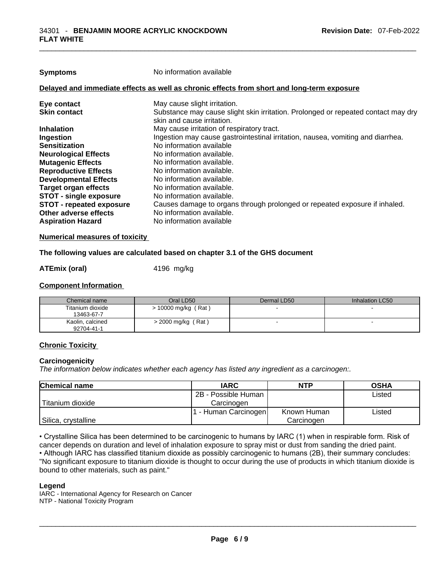| <b>Symptoms</b>                                                                            | No information available                                                                                        |  |  |
|--------------------------------------------------------------------------------------------|-----------------------------------------------------------------------------------------------------------------|--|--|
| Delayed and immediate effects as well as chronic effects from short and long-term exposure |                                                                                                                 |  |  |
| Eye contact                                                                                | May cause slight irritation.                                                                                    |  |  |
| <b>Skin contact</b>                                                                        | Substance may cause slight skin irritation. Prolonged or repeated contact may dry<br>skin and cause irritation. |  |  |
| <b>Inhalation</b>                                                                          | May cause irritation of respiratory tract.                                                                      |  |  |
| Ingestion                                                                                  | Ingestion may cause gastrointestinal irritation, nausea, vomiting and diarrhea.                                 |  |  |
| <b>Sensitization</b>                                                                       | No information available                                                                                        |  |  |
| <b>Neurological Effects</b>                                                                | No information available.                                                                                       |  |  |
| <b>Mutagenic Effects</b>                                                                   | No information available.                                                                                       |  |  |
| <b>Reproductive Effects</b>                                                                | No information available.                                                                                       |  |  |
| <b>Developmental Effects</b>                                                               | No information available.                                                                                       |  |  |
| <b>Target organ effects</b>                                                                | No information available.                                                                                       |  |  |
| <b>STOT - single exposure</b>                                                              | No information available.                                                                                       |  |  |
| <b>STOT - repeated exposure</b>                                                            | Causes damage to organs through prolonged or repeated exposure if inhaled.                                      |  |  |
| Other adverse effects                                                                      | No information available.                                                                                       |  |  |
| <b>Aspiration Hazard</b>                                                                   | No information available                                                                                        |  |  |
|                                                                                            |                                                                                                                 |  |  |

#### **Numerical measures of toxicity**

#### **The following values are calculated based on chapter 3.1 of the GHS document**

#### **ATEmix (oral)** 4196 mg/kg

#### **Component Information**

| Chemical name                  | Oral LD50             | Dermal LD50 | Inhalation LC50 |
|--------------------------------|-----------------------|-------------|-----------------|
| Titanium dioxide<br>13463-67-7 | $> 10000$ mg/kg (Rat) |             |                 |
| Kaolin, calcined<br>92704-41-1 | $>$ 2000 mg/kg (Rat)  |             |                 |

# **Chronic Toxicity**

### **Carcinogenicity**

*The information below indicates whether each agency has listed any ingredient as a carcinogen:.* 

| <b>Chemical name</b> | <b>IARC</b>          | <b>NTP</b>  | <b>OSHA</b> |
|----------------------|----------------------|-------------|-------------|
|                      | 2B - Possible Human  |             | Listed      |
| l Titanium dioxide   | Carcinogen           |             |             |
|                      | 1 - Human Carcinogen | Known Human | ∟isted      |
| Silica, crystalline  |                      | Carcinogen  |             |

• Crystalline Silica has been determined to be carcinogenic to humans by IARC (1) when in respirable form. Risk of cancer depends on duration and level of inhalation exposure to spray mist or dust from sanding the dried paint.

• Although IARC has classified titanium dioxide as possibly carcinogenic to humans (2B), their summary concludes: "No significant exposure to titanium dioxide is thought to occur during the use of products in which titanium dioxide is<br>bound to other materials, such as paint." bound to other materials, such as paint." \_\_\_\_\_\_\_\_\_\_\_\_\_\_\_\_\_\_\_\_\_\_\_\_\_\_\_\_\_\_\_\_\_\_\_\_\_\_\_\_\_\_\_\_\_\_\_\_\_\_\_\_\_\_\_\_\_\_\_\_\_\_\_\_\_\_\_\_\_\_\_\_\_\_\_\_\_\_\_\_\_\_\_\_\_\_\_\_\_\_\_\_\_

#### **Legend**

IARC - International Agency for Research on Cancer NTP - National Toxicity Program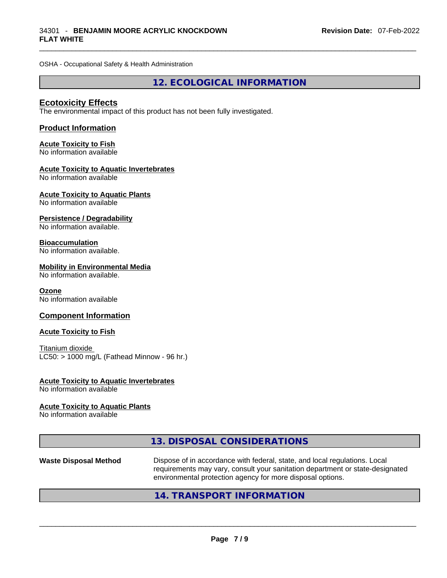OSHA - Occupational Safety & Health Administration

**12. ECOLOGICAL INFORMATION** 

## **Ecotoxicity Effects**

The environmental impact of this product has not been fully investigated.

## **Product Information**

# **Acute Toxicity to Fish**

No information available

## **Acute Toxicity to Aquatic Invertebrates**

No information available

# **Acute Toxicity to Aquatic Plants**

No information available

## **Persistence / Degradability**

No information available.

## **Bioaccumulation**

No information available.

## **Mobility in Environmental Media**

No information available.

#### **Ozone**

No information available

## **Component Information**

#### **Acute Toxicity to Fish**

Titanium dioxide  $LC50:$  > 1000 mg/L (Fathead Minnow - 96 hr.)

# **Acute Toxicity to Aquatic Invertebrates**

No information available

## **Acute Toxicity to Aquatic Plants**

No information available

| 13. DISPOSAL CONSIDERATIONS |  |
|-----------------------------|--|
|-----------------------------|--|

# **Waste Disposal Method** Dispose of in accordance with federal, state, and local regulations. Local requirements may vary, consult your sanitation department or state-designated environmental protection agency for more disposal options.<br> $14. \text{ TRANSPORT INFORMATION}$

# **14. TRANSPORT INFORMATION**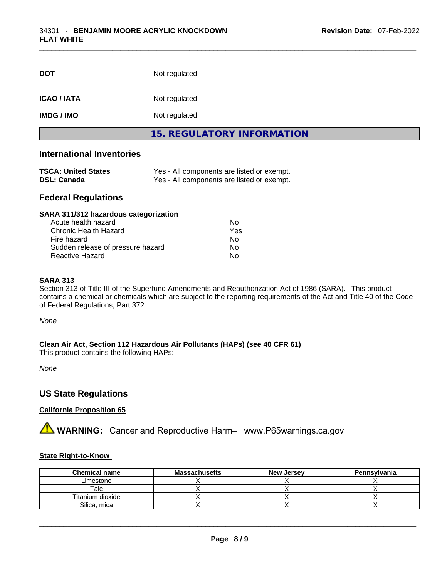| <b>DOT</b>        | Not regulated              |  |
|-------------------|----------------------------|--|
| <b>ICAO/IATA</b>  | Not regulated              |  |
| <b>IMDG / IMO</b> | Not regulated              |  |
|                   | 15. REGULATORY INFORMATION |  |

# **International Inventories**

| <b>TSCA: United States</b> | Yes - All components are listed or exempt. |
|----------------------------|--------------------------------------------|
| <b>DSL: Canada</b>         | Yes - All components are listed or exempt. |

# **Federal Regulations**

| SARA 311/312 hazardous categorization |     |  |
|---------------------------------------|-----|--|
| Acute health hazard                   | Nο  |  |
| Chronic Health Hazard                 | Yes |  |
| Fire hazard                           | No  |  |
| Sudden release of pressure hazard     | Nο  |  |
| <b>Reactive Hazard</b>                | No  |  |

#### **SARA 313**

Section 313 of Title III of the Superfund Amendments and Reauthorization Act of 1986 (SARA). This product contains a chemical or chemicals which are subject to the reporting requirements of the Act and Title 40 of the Code of Federal Regulations, Part 372:

*None*

**Clean Air Act,Section 112 Hazardous Air Pollutants (HAPs) (see 40 CFR 61)**

This product contains the following HAPs:

*None*

# **US State Regulations**

# **California Proposition 65**

**A** WARNING: Cancer and Reproductive Harm– www.P65warnings.ca.gov

## **State Right-to-Know**

| <b>Chemical name</b> | <b>Massachusetts</b> | <b>New Jersey</b> | Pennsylvania |
|----------------------|----------------------|-------------------|--------------|
| Limestone            |                      |                   |              |
| Talc                 |                      |                   |              |
| Titanium dioxide     |                      |                   |              |
| Silica, mica         |                      |                   |              |

 $\_$  ,  $\_$  ,  $\_$  ,  $\_$  ,  $\_$  ,  $\_$  ,  $\_$  ,  $\_$  ,  $\_$  ,  $\_$  ,  $\_$  ,  $\_$  ,  $\_$  ,  $\_$  ,  $\_$  ,  $\_$  ,  $\_$  ,  $\_$  ,  $\_$  ,  $\_$  ,  $\_$  ,  $\_$  ,  $\_$  ,  $\_$  ,  $\_$  ,  $\_$  ,  $\_$  ,  $\_$  ,  $\_$  ,  $\_$  ,  $\_$  ,  $\_$  ,  $\_$  ,  $\_$  ,  $\_$  ,  $\_$  ,  $\_$  ,